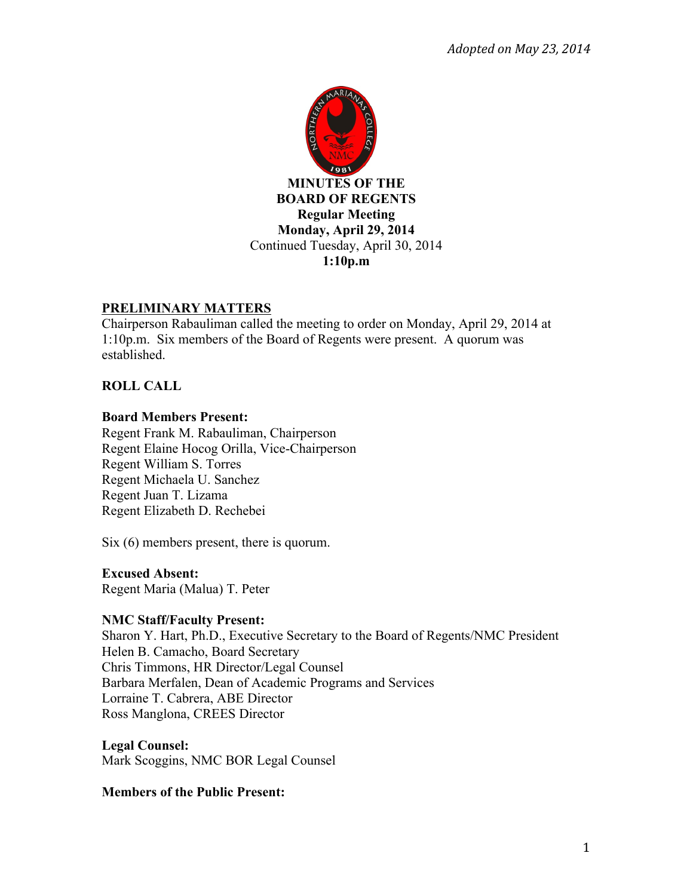

### **PRELIMINARY MATTERS**

Chairperson Rabauliman called the meeting to order on Monday, April 29, 2014 at 1:10p.m. Six members of the Board of Regents were present. A quorum was established.

# **ROLL CALL**

#### **Board Members Present:**

Regent Frank M. Rabauliman, Chairperson Regent Elaine Hocog Orilla, Vice-Chairperson Regent William S. Torres Regent Michaela U. Sanchez Regent Juan T. Lizama Regent Elizabeth D. Rechebei

Six (6) members present, there is quorum.

### **Excused Absent:**

Regent Maria (Malua) T. Peter

### **NMC Staff/Faculty Present:**

Sharon Y. Hart, Ph.D., Executive Secretary to the Board of Regents/NMC President Helen B. Camacho, Board Secretary Chris Timmons, HR Director/Legal Counsel Barbara Merfalen, Dean of Academic Programs and Services Lorraine T. Cabrera, ABE Director Ross Manglona, CREES Director

**Legal Counsel:** Mark Scoggins, NMC BOR Legal Counsel

### **Members of the Public Present:**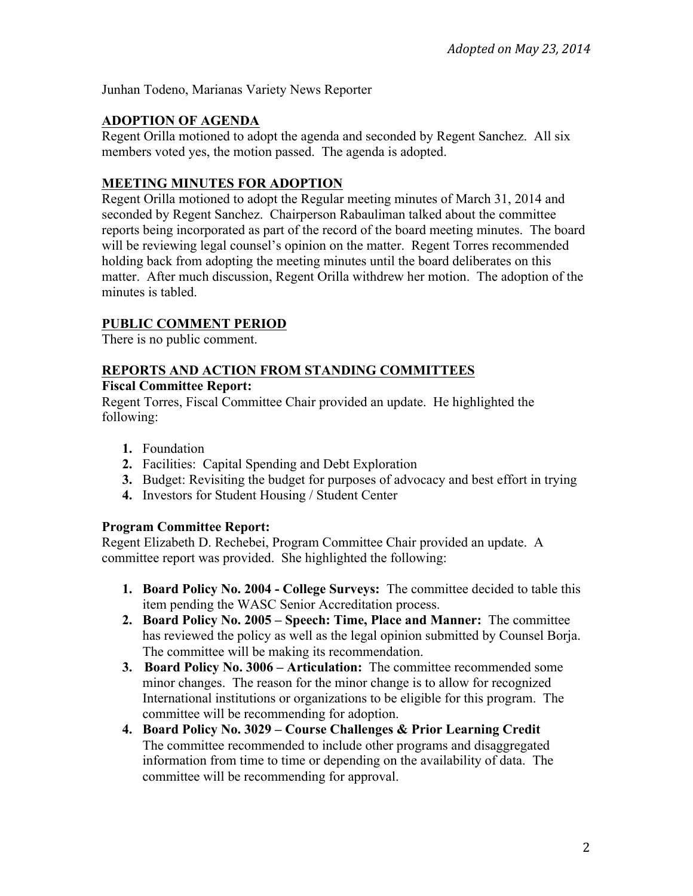Junhan Todeno, Marianas Variety News Reporter

## **ADOPTION OF AGENDA**

Regent Orilla motioned to adopt the agenda and seconded by Regent Sanchez. All six members voted yes, the motion passed. The agenda is adopted.

### **MEETING MINUTES FOR ADOPTION**

Regent Orilla motioned to adopt the Regular meeting minutes of March 31, 2014 and seconded by Regent Sanchez. Chairperson Rabauliman talked about the committee reports being incorporated as part of the record of the board meeting minutes. The board will be reviewing legal counsel's opinion on the matter. Regent Torres recommended holding back from adopting the meeting minutes until the board deliberates on this matter. After much discussion, Regent Orilla withdrew her motion. The adoption of the minutes is tabled.

## **PUBLIC COMMENT PERIOD**

There is no public comment.

# **REPORTS AND ACTION FROM STANDING COMMITTEES**

# **Fiscal Committee Report:**

Regent Torres, Fiscal Committee Chair provided an update. He highlighted the following:

- **1.** Foundation
- **2.** Facilities: Capital Spending and Debt Exploration
- **3.** Budget: Revisiting the budget for purposes of advocacy and best effort in trying
- **4.** Investors for Student Housing / Student Center

### **Program Committee Report:**

Regent Elizabeth D. Rechebei, Program Committee Chair provided an update. A committee report was provided. She highlighted the following:

- **1. Board Policy No. 2004 - College Surveys:** The committee decided to table this item pending the WASC Senior Accreditation process.
- **2. Board Policy No. 2005 – Speech: Time, Place and Manner:** The committee has reviewed the policy as well as the legal opinion submitted by Counsel Borja. The committee will be making its recommendation.
- **3. Board Policy No. 3006 – Articulation:** The committee recommended some minor changes. The reason for the minor change is to allow for recognized International institutions or organizations to be eligible for this program. The committee will be recommending for adoption.
- **4. Board Policy No. 3029 – Course Challenges & Prior Learning Credit**  The committee recommended to include other programs and disaggregated information from time to time or depending on the availability of data. The committee will be recommending for approval.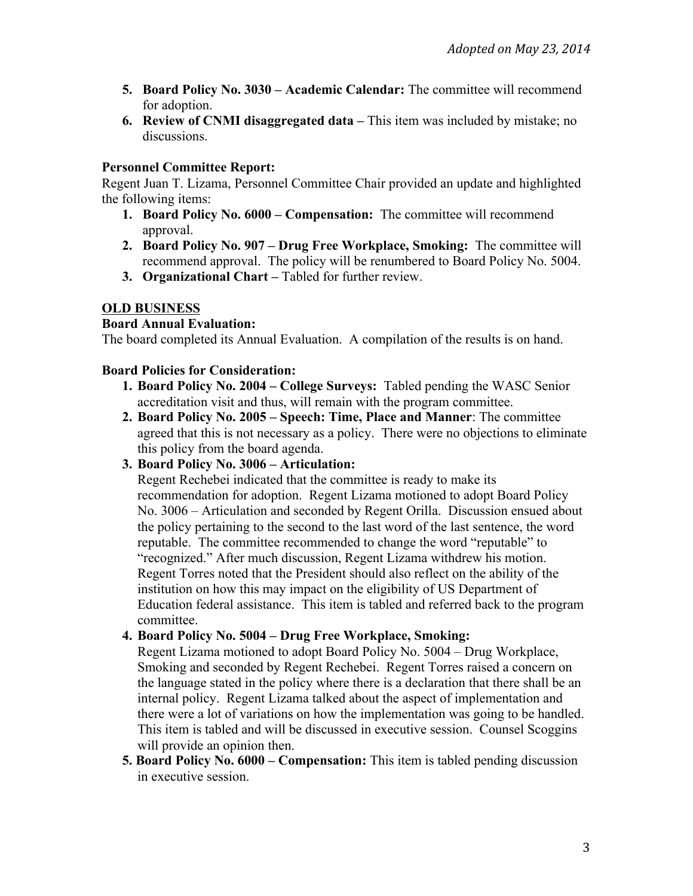- **5. Board Policy No. 3030 – Academic Calendar:** The committee will recommend for adoption.
- **6. Review of CNMI disaggregated data –** This item was included by mistake; no discussions.

### **Personnel Committee Report:**

Regent Juan T. Lizama, Personnel Committee Chair provided an update and highlighted the following items:

- **1. Board Policy No. 6000 – Compensation:** The committee will recommend approval.
- **2. Board Policy No. 907 – Drug Free Workplace, Smoking:** The committee will recommend approval. The policy will be renumbered to Board Policy No. 5004.
- **3. Organizational Chart –** Tabled for further review.

## **OLD BUSINESS**

### **Board Annual Evaluation:**

The board completed its Annual Evaluation. A compilation of the results is on hand.

#### **Board Policies for Consideration:**

- **1. Board Policy No. 2004 – College Surveys:** Tabled pending the WASC Senior accreditation visit and thus, will remain with the program committee.
- **2. Board Policy No. 2005 – Speech: Time, Place and Manner**: The committee agreed that this is not necessary as a policy. There were no objections to eliminate this policy from the board agenda.
- **3. Board Policy No. 3006 – Articulation:**

Regent Rechebei indicated that the committee is ready to make its recommendation for adoption. Regent Lizama motioned to adopt Board Policy No. 3006 – Articulation and seconded by Regent Orilla. Discussion ensued about the policy pertaining to the second to the last word of the last sentence, the word reputable. The committee recommended to change the word "reputable" to "recognized." After much discussion, Regent Lizama withdrew his motion. Regent Torres noted that the President should also reflect on the ability of the institution on how this may impact on the eligibility of US Department of Education federal assistance. This item is tabled and referred back to the program committee.

## **4. Board Policy No. 5004 – Drug Free Workplace, Smoking:**

Regent Lizama motioned to adopt Board Policy No. 5004 – Drug Workplace, Smoking and seconded by Regent Rechebei. Regent Torres raised a concern on the language stated in the policy where there is a declaration that there shall be an internal policy. Regent Lizama talked about the aspect of implementation and there were a lot of variations on how the implementation was going to be handled. This item is tabled and will be discussed in executive session. Counsel Scoggins will provide an opinion then.

**5. Board Policy No. 6000 – Compensation:** This item is tabled pending discussion in executive session.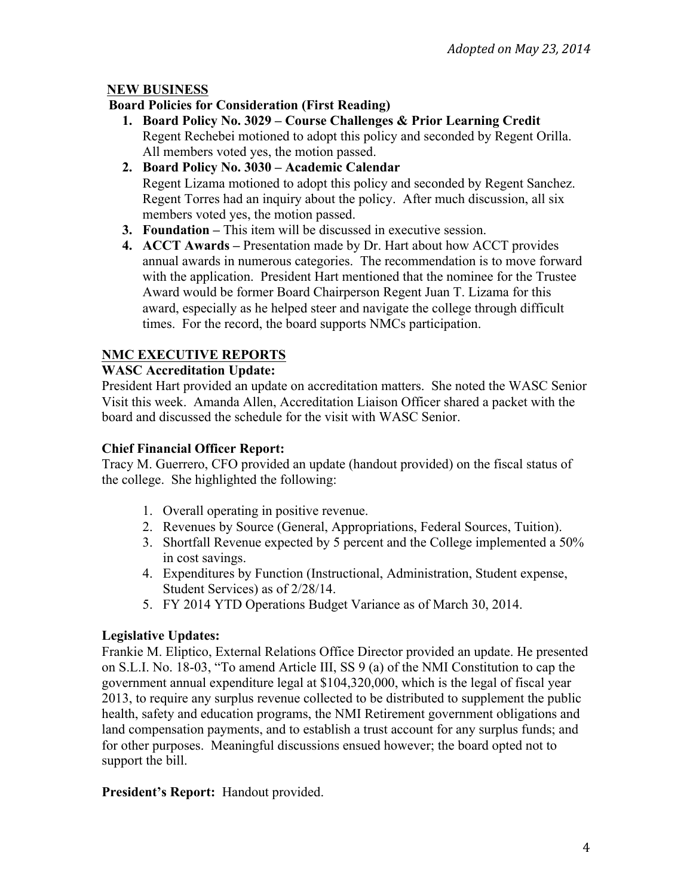## **NEW BUSINESS**

### **Board Policies for Consideration (First Reading)**

- **1. Board Policy No. 3029 – Course Challenges & Prior Learning Credit**  Regent Rechebei motioned to adopt this policy and seconded by Regent Orilla. All members voted yes, the motion passed.
- **2. Board Policy No. 3030 – Academic Calendar**  Regent Lizama motioned to adopt this policy and seconded by Regent Sanchez. Regent Torres had an inquiry about the policy. After much discussion, all six members voted yes, the motion passed.
- **3. Foundation –** This item will be discussed in executive session.
- **4. ACCT Awards –** Presentation made by Dr. Hart about how ACCT provides annual awards in numerous categories. The recommendation is to move forward with the application. President Hart mentioned that the nominee for the Trustee Award would be former Board Chairperson Regent Juan T. Lizama for this award, especially as he helped steer and navigate the college through difficult times. For the record, the board supports NMCs participation.

## **NMC EXECUTIVE REPORTS**

### **WASC Accreditation Update:**

President Hart provided an update on accreditation matters. She noted the WASC Senior Visit this week. Amanda Allen, Accreditation Liaison Officer shared a packet with the board and discussed the schedule for the visit with WASC Senior.

#### **Chief Financial Officer Report:**

Tracy M. Guerrero, CFO provided an update (handout provided) on the fiscal status of the college. She highlighted the following:

- 1. Overall operating in positive revenue.
- 2. Revenues by Source (General, Appropriations, Federal Sources, Tuition).
- 3. Shortfall Revenue expected by 5 percent and the College implemented a 50% in cost savings.
- 4. Expenditures by Function (Instructional, Administration, Student expense, Student Services) as of 2/28/14.
- 5. FY 2014 YTD Operations Budget Variance as of March 30, 2014.

### **Legislative Updates:**

Frankie M. Eliptico, External Relations Office Director provided an update. He presented on S.L.I. No. 18-03, "To amend Article III, SS 9 (a) of the NMI Constitution to cap the government annual expenditure legal at \$104,320,000, which is the legal of fiscal year 2013, to require any surplus revenue collected to be distributed to supplement the public health, safety and education programs, the NMI Retirement government obligations and land compensation payments, and to establish a trust account for any surplus funds; and for other purposes. Meaningful discussions ensued however; the board opted not to support the bill.

**President's Report:** Handout provided.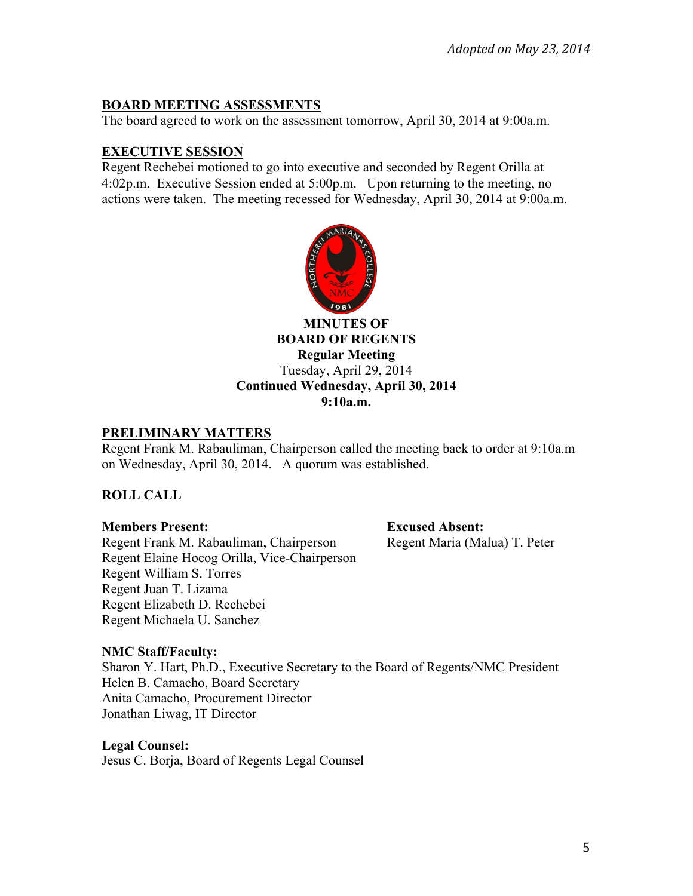### **BOARD MEETING ASSESSMENTS**

The board agreed to work on the assessment tomorrow, April 30, 2014 at 9:00a.m.

## **EXECUTIVE SESSION**

Regent Rechebei motioned to go into executive and seconded by Regent Orilla at 4:02p.m. Executive Session ended at 5:00p.m. Upon returning to the meeting, no actions were taken. The meeting recessed for Wednesday, April 30, 2014 at 9:00a.m.



**MINUTES OF BOARD OF REGENTS Regular Meeting** Tuesday, April 29, 2014 **Continued Wednesday, April 30, 2014 9:10a.m.**

#### **PRELIMINARY MATTERS**

Regent Frank M. Rabauliman, Chairperson called the meeting back to order at 9:10a.m on Wednesday, April 30, 2014. A quorum was established.

# **ROLL CALL**

### **Members Present: Excused Absent:**

Regent Frank M. Rabauliman, Chairperson Regent Maria (Malua) T. Peter Regent Elaine Hocog Orilla, Vice-Chairperson Regent William S. Torres Regent Juan T. Lizama Regent Elizabeth D. Rechebei Regent Michaela U. Sanchez

### **NMC Staff/Faculty:**

Sharon Y. Hart, Ph.D., Executive Secretary to the Board of Regents/NMC President Helen B. Camacho, Board Secretary Anita Camacho, Procurement Director Jonathan Liwag, IT Director

### **Legal Counsel:**

Jesus C. Borja, Board of Regents Legal Counsel